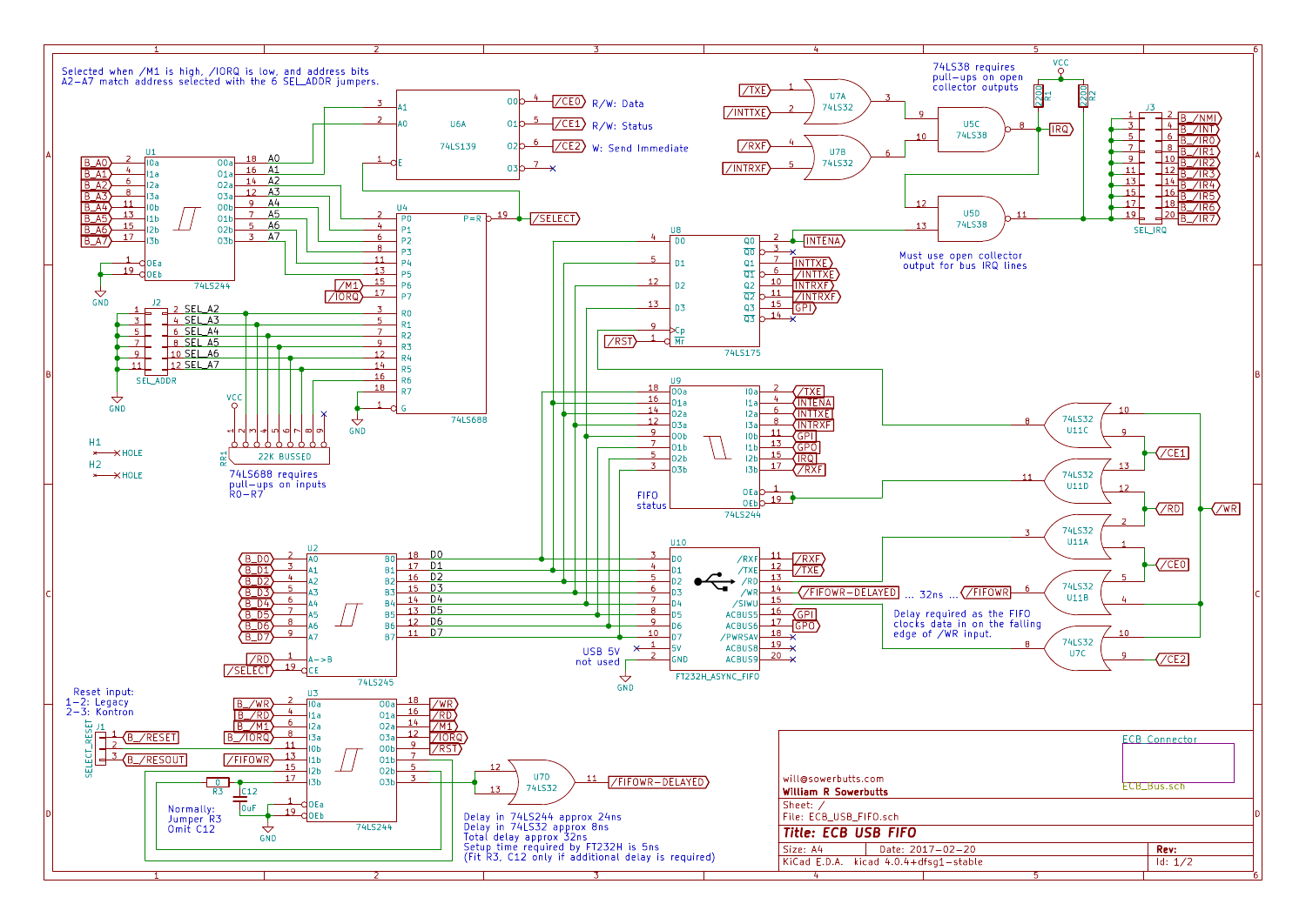